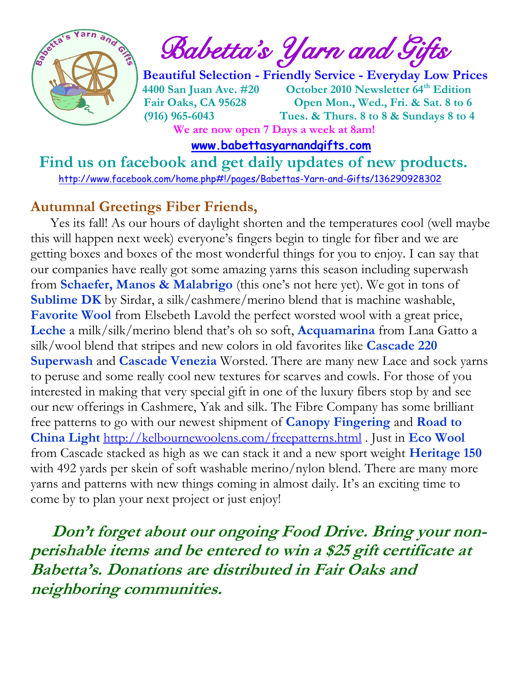

 $\int_{a}^{\frac{1}{2}} \mathbf{R} \mathbf{B}$  Babetta's Yarn and Gifts

 **Beautiful Selection - Friendly Service - Everyday Low Prices 4400 San Juan Ave. #20 October 2010 Newsletter 64th Edition Fair Oaks, CA 95628 Open Mon., Wed., Fri. & Sat. 8 to 6 (916) 965-6043 Tues. & Thurs. 8 to 8 & Sundays 8 to 4 We are now open 7 Days a week at 8am!** 

 **[www.babettasyarnandgifts.com](http://www.babettasyarnandgifts.com/)**

 **Find us on facebook and get daily updates of new products.**  <http://www.facebook.com/home.php#!/pages/Babettas-Yarn-and-Gifts/136290928302>

#### **Autumnal Greetings Fiber Friends,**

 Yes its fall! As our hours of daylight shorten and the temperatures cool (well maybe this will happen next week) everyone's fingers begin to tingle for fiber and we are getting boxes and boxes of the most wonderful things for you to enjoy. I can say that our companies have really got some amazing yarns this season including superwash from **Schaefer, Manos & Malabrigo** (this one's not here yet). We got in tons of **Sublime DK** by Sirdar, a silk/cashmere/merino blend that is machine washable, **Favorite Wool** from Elsebeth Lavold the perfect worsted wool with a great price, **Leche** a milk/silk/merino blend that's oh so soft, **Acquamarina** from Lana Gatto a silk/wool blend that stripes and new colors in old favorites like **Cascade 220 Superwash** and **Cascade Venezia** Worsted. There are many new Lace and sock yarns to peruse and some really cool new textures for scarves and cowls. For those of you interested in making that very special gift in one of the luxury fibers stop by and see our new offerings in Cashmere, Yak and silk. The Fibre Company has some brilliant free patterns to go with our newest shipment of **Canopy Fingering** and **Road to China Light** <http://kelbournewoolens.com/freepatterns.html> . Just in **Eco Wool** from Cascade stacked as high as we can stack it and a new sport weight **Heritage 150** with 492 yards per skein of soft washable merino/nylon blend. There are many more yarns and patterns with new things coming in almost daily. It's an exciting time to come by to plan your next project or just enjoy!

 **Don't forget about our ongoing Food Drive. Bring your nonperishable items and be entered to win a \$25 gift certificate at Babetta's. Donations are distributed in Fair Oaks and neighboring communities.**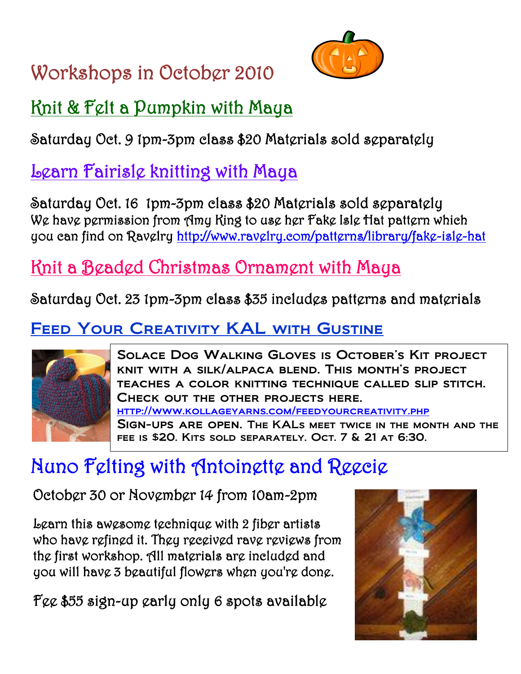# Workshops in October 2010



## Knit & Felt a Pumpkin with Maya

Saturday Oct. 9 1pm-3pm class \$20 Materials sold separately

## Learn Fairisle knitting with Maya

Saturday Oct. 16 1pm-3pm class \$20 Materials sold separately We have permission from Amy King to use her Fake Isle Hat pattern which you can find on Ravelry<http://www.ravelry.com/patterns/library/fake-isle-hat>

## Knit a Beaded Christmas Ornament with Maya

Saturday Oct. 23 1pm-3pm class \$35 includes patterns and materials

### FEED YOUR CREATIVITY KAL WITH GUSTINE



 fee is \$20. Kits sold separately. Oct. 7 & 21 at 6:30.Solace Dog Walking Gloves is October's Kit project knit with a silk/alpaca blend. This month's project teaches a color knitting technique called slip stitch. Check out the other projects here. <http://www.kollageyarns.com/feedyourcreativity.php> Sign-ups are open. The KALs meet twice in the month and the

# Nuno Felting with Antoinette and Reecie

October 30 or November 14 from 10am-2pm

Learn this awesome technique with 2 fiber artists who have refined it. They received rave reviews from the first workshop. All materials are included and you will have 3 beautiful flowers when you're done.

Fee \$55 sign-up early only 6 spots available

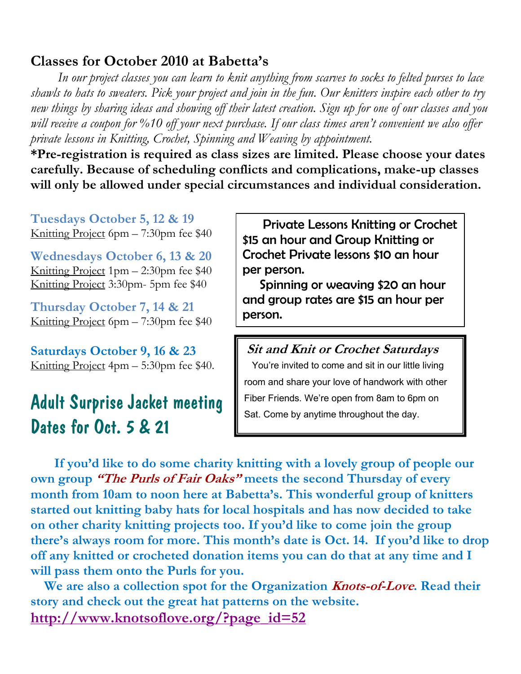#### **Classes for October 2010 at Babetta's**

 *In our project classes you can learn to knit anything from scarves to socks to felted purses to lace shawls to hats to sweaters. Pick your project and join in the fun. Our knitters inspire each other to try new things by sharing ideas and showing off their latest creation. Sign up for one of our classes and you will receive a coupon for %10 off your next purchase. If our class times aren't convenient we also offer private lessons in Knitting, Crochet, Spinning and Weaving by appointment.*

**\*Pre-registration is required as class sizes are limited. Please choose your dates carefully. Because of scheduling conflicts and complications, make-up classes will only be allowed under special circumstances and individual consideration.**

**Tuesdays October 5, 12 & 19** Knitting Project 6pm – 7:30pm fee \$40

**Wednesdays October 6, 13 & 20** Knitting Project 1pm – 2:30pm fee \$40 Knitting Project 3:30pm- 5pm fee \$40

**Thursday October 7, 14 & 21** Knitting Project 6pm – 7:30pm fee \$40

**Saturdays October 9, 16 & 23** Knitting Project 4pm – 5:30pm fee \$40.

### Adult Surprise Jacket meeting Dates for Oct. 5 & 21

 Private Lessons Knitting or Crochet \$15 an hour and Group Knitting or Crochet Private lessons \$10 an hour per person.

 Spinning or weaving \$20 an hour and group rates are \$15 an hour per person.

**Sit and Knit or Crochet Saturdays** You're invited to come and sit in our little living room and share your love of handwork with other Fiber Friends. We're open from 8am to 6pm on Sat. Come by anytime throughout the day.

 **If you'd like to do some charity knitting with a lovely group of people our own group "The Purls of Fair Oaks" meets the second Thursday of every month from 10am to noon here at Babetta's. This wonderful group of knitters started out knitting baby hats for local hospitals and has now decided to take on other charity knitting projects too. If you'd like to come join the group there's always room for more. This month's date is Oct. 14. If you'd like to drop off any knitted or crocheted donation items you can do that at any time and I will pass them onto the Purls for you.**

 **We are also a collection spot for the Organization Knots-of-Love. Read their story and check out the great hat patterns on the website. [http://www.knotsoflove.org/?page\\_id=52](http://www.knotsoflove.org/?page_id=52)**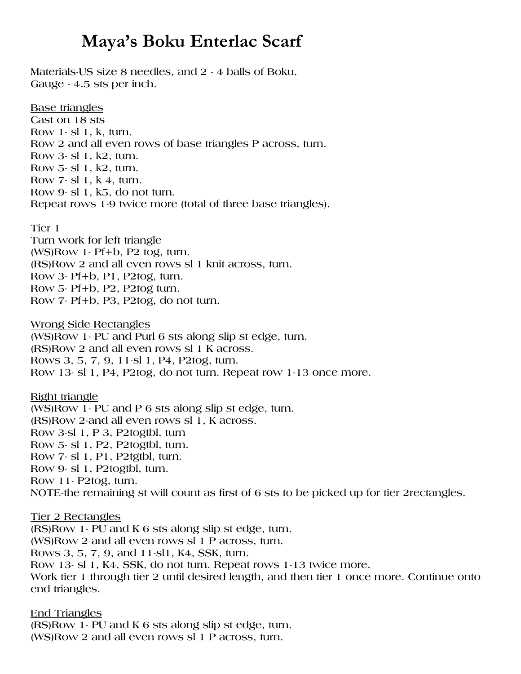### **Maya's Boku Enterlac Scarf**

**Materials-US size 8 needles, and 2 - 4 balls of Boku. Gauge - 4.5 sts per inch.**

**Base triangles Cast on 18 sts Row 1- sl 1, k, turn. Row 2 and all even rows of base triangles P across, turn. Row 3- sl 1, k2, turn. Row 5- sl 1, k2, turn. Row 7- sl 1, k 4, turn. Row 9- sl 1, k5, do not turn. Repeat rows 1-9 twice more (total of three base triangles).**

#### **Tier 1**

**Turn work for left triangle (WS)Row 1- Pf+b, P2 tog, turn. (RS)Row 2 and all even rows sl 1 knit across, turn. Row 3- Pf+b, P1, P2tog, turn. Row 5- Pf+b, P2, P2tog turn. Row 7- Pf+b, P3, P2tog, do not turn.**

**Wrong Side Rectangles (WS)Row 1- PU and Purl 6 sts along slip st edge, turn. (RS)Row 2 and all even rows sl 1 K across. Rows 3, 5, 7, 9, 11-sl 1, P4, P2tog, turn. Row 13- sl 1, P4, P2tog, do not turn. Repeat row 1-13 once more.**

**Right triangle (WS)Row 1- PU and P 6 sts along slip st edge, turn. (RS)Row 2-and all even rows sl 1, K across. Row 3-sl 1, P 3, P2togtbl, turn Row 5- sl 1, P2, P2togtbl, turn. Row 7- sl 1, P1, P2tgtbl, turn. Row 9- sl 1, P2togtbl, turn. Row 11- P2tog, turn. NOTE-the remaining st will count as first of 6 sts to be picked up for tier 2rectangles.**

#### **Tier 2 Rectangles**

**(RS)Row 1- PU and K 6 sts along slip st edge, turn. (WS)Row 2 and all even rows sl 1 P across, turn. Rows 3, 5, 7, 9, and 11-sl1, K4, SSK, turn. Row 13- sl 1, K4, SSK, do not turn. Repeat rows 1-13 twice more. Work tier 1 through tier 2 until desired length, and then tier 1 once more. Continue onto end triangles.**

**End Triangles (RS)Row 1- PU and K 6 sts along slip st edge, turn. (WS)Row 2 and all even rows sl 1 P across, turn.**